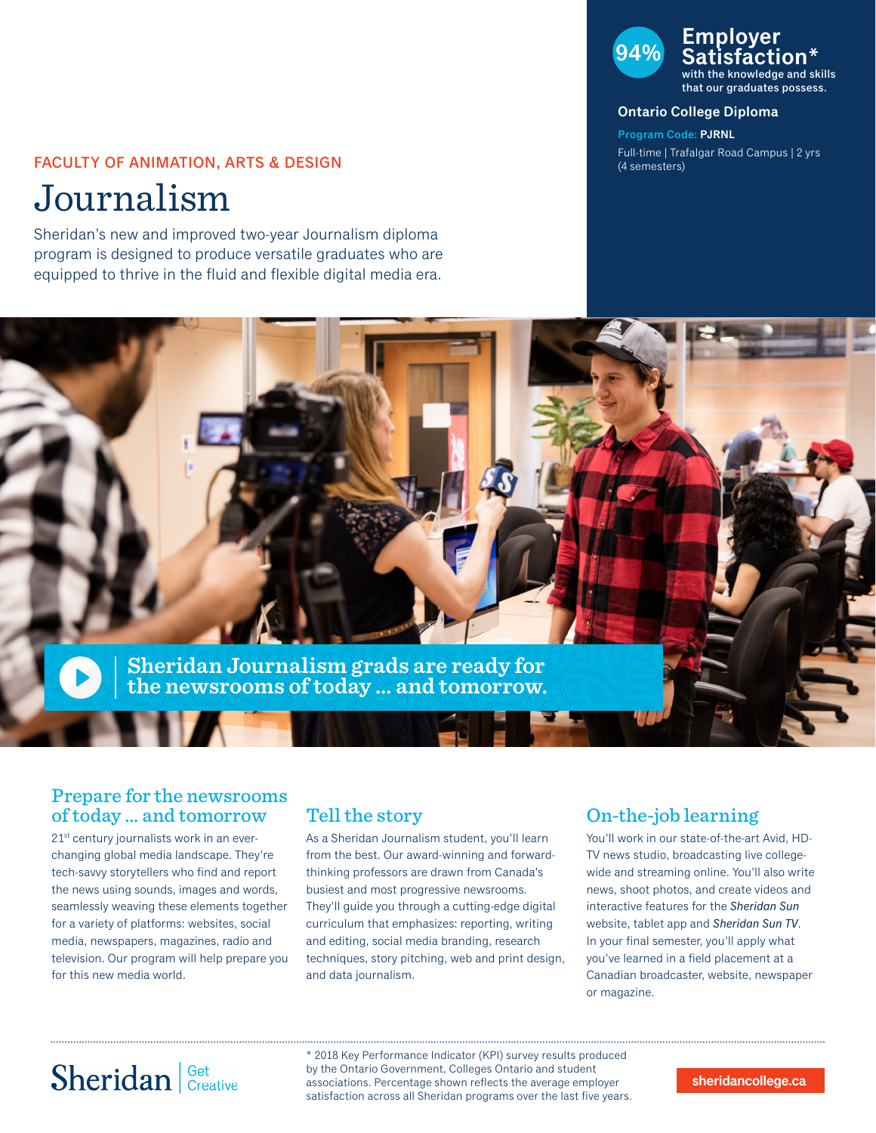### FACULTY OF ANIMATION, ARTS & DESIGN

Journalism

Sheridan's new and improved two-year Journalism diploma program is designed to produce versatile graduates who are equipped to thrive in the fluid and flexible digital media era.

### **94% Employer Satisfaction\*** with the knowledge and skills

that our graduates possess.

#### **Ontario College Diploma**

**Program Code: PJRNL** Full-time | Trafalgar Road Campus | 2 yrs (4 semesters)



### Prepare for the newsrooms of today ... and tomorrow

21<sup>st</sup> century journalists work in an everchanging global media landscape. They're tech-savvy storytellers who find and report the news using sounds, images and words, seamlessly weaving these elements together for a variety of platforms: websites, social media, newspapers, magazines, radio and television. Our program will help prepare you for this new media world.

### Tell the story

As a Sheridan Journalism student, you'll learn from the best. Our award-winning and forwardthinking professors are drawn from Canada's busiest and most progressive newsrooms. They'll guide you through a cutting-edge digital curriculum that emphasizes: reporting, writing and editing, social media branding, research techniques, story pitching, web and print design, and data journalism.

## On-the-job learning

You'll work in our state-of-the-art Avid, HD-TV news studio, broadcasting live collegewide and streaming online. You'll also write news, shoot photos, and create videos and interactive features for the *Sheridan Sun* website, tablet app and *Sheridan Sun TV*. In your final semester, you'll apply what you've learned in a field placement at a Canadian broadcaster, website, newspaper or magazine.

# Sheridan Get Creative

\* 2018 Key Performance Indicator (KPI) survey results produced by the Ontario Government, Colleges Ontario and student associations. Percentage shown reflects the average employer satisfaction across all Sheridan programs over the last five years.